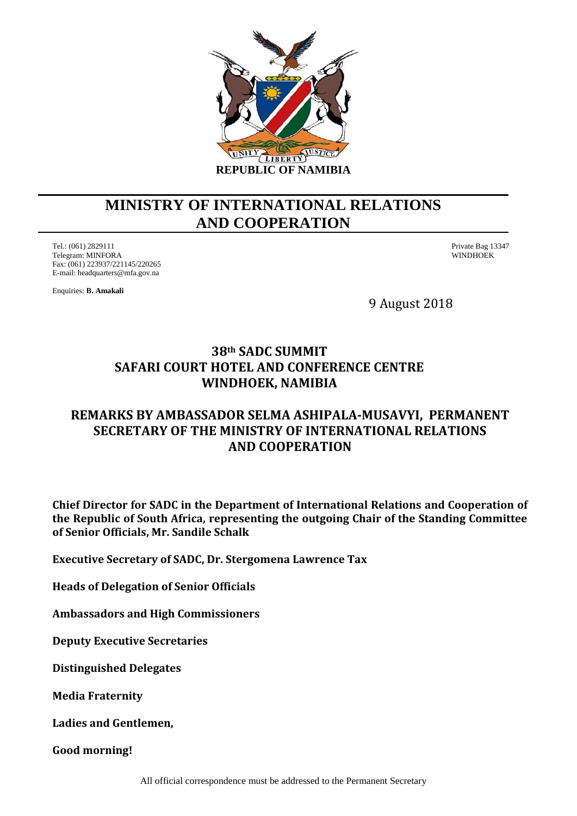

## **MINISTRY OF INTERNATIONAL RELATIONS AND COOPERATION**

Tel.: (061) 2829111 Private Bag 13347 Telegram: MINFORA Fax: (061) 223937/221145/220265 E-mail: headquarters@mfa.gov.na

Enquiries: **B. Amakali**

9 August 2018

## **38th SADC SUMMIT SAFARI COURT HOTEL AND CONFERENCE CENTRE WINDHOEK, NAMIBIA**

## **REMARKS BY AMBASSADOR SELMA ASHIPALA-MUSAVYI, PERMANENT SECRETARY OF THE MINISTRY OF INTERNATIONAL RELATIONS AND COOPERATION**

**Chief Director for SADC in the Department of International Relations and Cooperation of the Republic of South Africa, representing the outgoing Chair of the Standing Committee of Senior Officials, Mr. Sandile Schalk**

**Executive Secretary of SADC, Dr. Stergomena Lawrence Tax**

**Heads of Delegation of Senior Officials**

**Ambassadors and High Commissioners**

**Deputy Executive Secretaries**

**Distinguished Delegates**

**Media Fraternity**

**Ladies and Gentlemen,**

**Good morning!**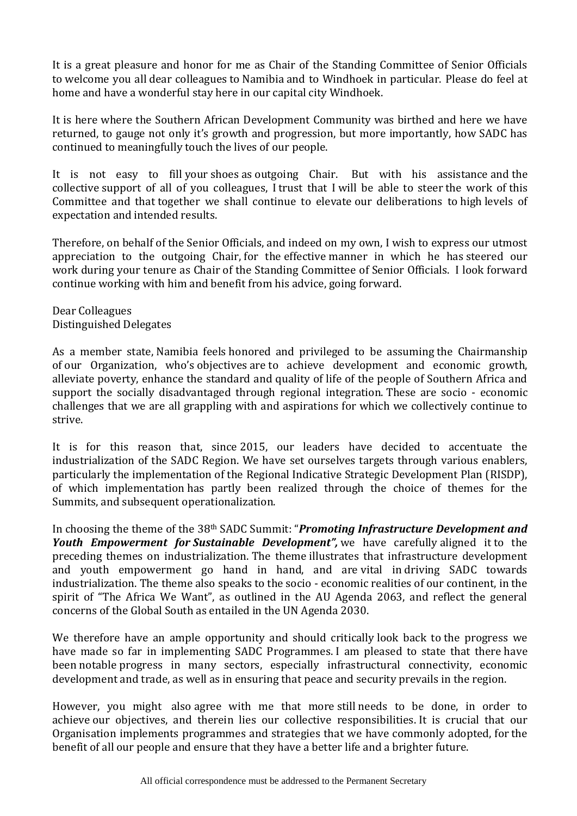It is a great pleasure and honor for me as Chair of the Standing Committee of Senior Officials to welcome you all dear colleagues to Namibia and to Windhoek in particular. Please do feel at home and have a wonderful stay here in our capital city Windhoek.

It is here where the Southern African Development Community was birthed and here we have returned, to gauge not only it's growth and progression, but more importantly, how SADC has continued to meaningfully touch the lives of our people.

It is not easy to fill your shoes as outgoing Chair. But with his assistance and the collective support of all of you colleagues, I trust that I will be able to steer the work of this Committee and that together we shall continue to elevate our deliberations to high levels of expectation and intended results.

Therefore, on behalf of the Senior Officials, and indeed on my own, I wish to express our utmost appreciation to the outgoing Chair, for the effective manner in which he has steered our work during your tenure as Chair of the Standing Committee of Senior Officials. I look forward continue working with him and benefit from his advice, going forward.

Dear Colleagues Distinguished Delegates

As a member state, Namibia feels honored and privileged to be assuming the Chairmanship of our Organization, who's objectives are to achieve development and economic growth, alleviate poverty, enhance the standard and quality of life of the people of Southern Africa and support the socially disadvantaged through regional integration. These are socio - economic challenges that we are all grappling with and aspirations for which we collectively continue to strive.

It is for this reason that, since 2015, our leaders have decided to accentuate the industrialization of the SADC Region. We have set ourselves targets through various enablers, particularly the implementation of the Regional Indicative Strategic Development Plan (RISDP), of which implementation has partly been realized through the choice of themes for the Summits, and subsequent operationalization.

In choosing the theme of the 38th SADC Summit: "*Promoting Infrastructure Development and Youth Empowerment for Sustainable Development",* we have carefully aligned it to the preceding themes on industrialization. The theme illustrates that infrastructure development and youth empowerment go hand in hand, and are vital in driving SADC towards industrialization. The theme also speaks to the socio - economic realities of our continent, in the spirit of "The Africa We Want", as outlined in the AU Agenda 2063, and reflect the general concerns of the Global South as entailed in the UN Agenda 2030.

We therefore have an ample opportunity and should critically look back to the progress we have made so far in implementing SADC Programmes. I am pleased to state that there have been notable progress in many sectors, especially infrastructural connectivity, economic development and trade, as well as in ensuring that peace and security prevails in the region.

However, you might also agree with me that more still needs to be done, in order to achieve our objectives, and therein lies our collective responsibilities. It is crucial that our Organisation implements programmes and strategies that we have commonly adopted, for the benefit of all our people and ensure that they have a better life and a brighter future.